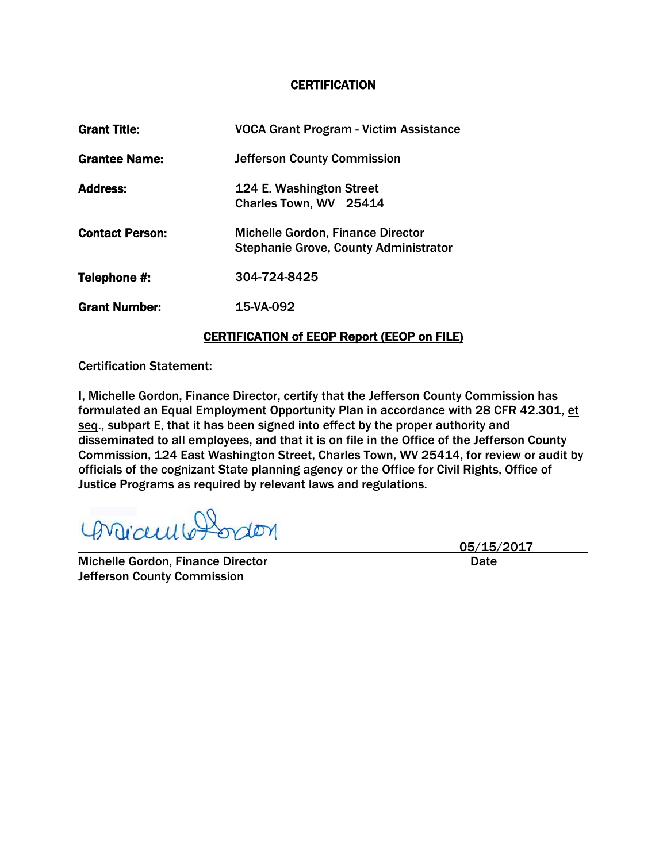#### **CERTIFICATION**

| <b>Grant Title:</b>    | <b>VOCA Grant Program - Victim Assistance</b> |
|------------------------|-----------------------------------------------|
| <b>Grantee Name:</b>   | <b>Jefferson County Commission</b>            |
| <b>Address:</b>        | 124 E. Washington Street                      |
|                        | Charles Town, WV 25414                        |
| <b>Contact Person:</b> | <b>Michelle Gordon, Finance Director</b>      |
|                        | <b>Stephanie Grove, County Administrator</b>  |
| Telephone #:           | 304-724-8425                                  |
| <b>Grant Number:</b>   | 15-VA-092                                     |
|                        |                                               |

### CERTIFICATION of EEOP Report (EEOP on FILE)

Certification Statement:

I, Michelle Gordon, Finance Director, certify that the Jefferson County Commission has formulated an Equal Employment Opportunity Plan in accordance with 28 CFR 42.301, et seq., subpart E, that it has been signed into effect by the proper authority and disseminated to all employees, and that it is on file in the Office of the Jefferson County Commission, 124 East Washington Street, Charles Town, WV 25414, for review or audit by officials of the cognizant State planning agency or the Office for Civil Rights, Office of Justice Programs as required by relevant laws and regulations.

Viceulle Pordon raon

Michelle Gordon, Finance Director **Date 19th Control Control** Date Jefferson County Commission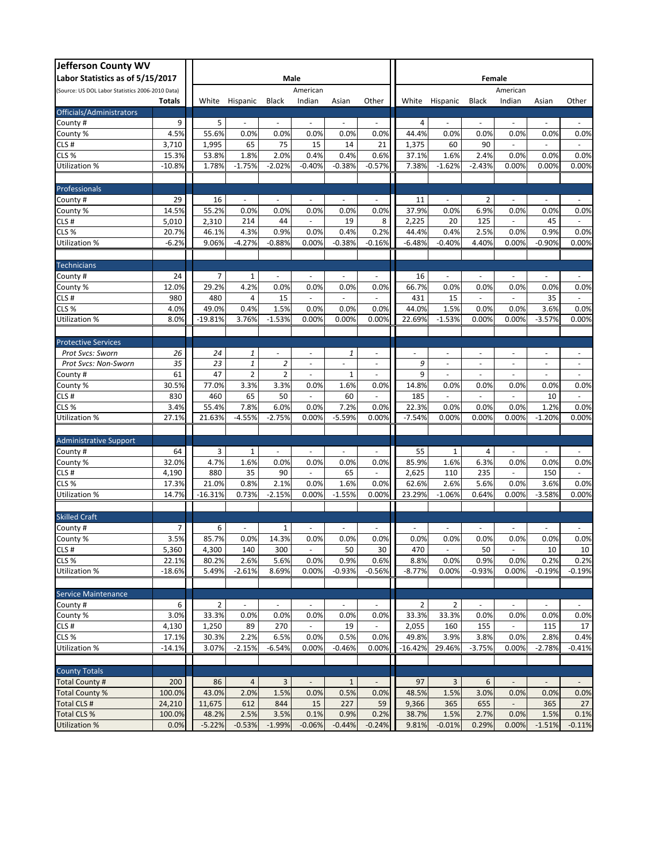| <b>Jefferson County WV</b>                      |          |                |                |                          |                          |                             |                          |                          |                |                          |                          |                          |                          |                          |
|-------------------------------------------------|----------|----------------|----------------|--------------------------|--------------------------|-----------------------------|--------------------------|--------------------------|----------------|--------------------------|--------------------------|--------------------------|--------------------------|--------------------------|
| Labor Statistics as of 5/15/2017                | Male     |                |                |                          |                          |                             | Female                   |                          |                |                          |                          |                          |                          |                          |
| Source: US DOL Labor Statistics 2006-2010 Data) |          | American       |                |                          |                          |                             | American                 |                          |                |                          |                          |                          |                          |                          |
|                                                 | Totals   | White          | Hispanic       | Black                    | Indian                   | Asian                       | Other                    |                          |                | White Hispanic           | Black                    | Indian                   | Asian                    | Other                    |
| Officials/Administrators                        |          |                |                |                          |                          |                             |                          |                          |                |                          |                          |                          |                          |                          |
| County #                                        | 9        | 5              | $\sim$         | $\omega$                 | ÷.                       | ÷.                          | $\sim$                   |                          | 4              | $\sim$                   | $\omega$                 | $\sim$                   | ÷.                       | $\sim$                   |
| County %                                        | 4.5%     | 55.6%          | 0.0%           | 0.0%                     | 0.0%                     | 0.0%                        | 0.0%                     | 44.4%                    |                | 0.0%                     | 0.0%                     | 0.0%                     | 0.0%                     | 0.0%                     |
| CLS#                                            | 3,710    | 1,995          | 65             | 75                       | 15                       | 14                          | 21                       | 1,375                    |                | 60                       | 90                       |                          | $\blacksquare$           | $\overline{\phantom{a}}$ |
| CLS %                                           | 15.3%    | 53.8%          | 1.8%           | 2.0%                     | 0.4%                     | 0.4%                        | 0.6%                     | 37.1%                    |                | 1.6%                     | 2.4%                     | 0.0%                     | 0.0%                     | 0.0%                     |
| Utilization %                                   | $-10.8%$ | 1.78%          | $-1.75%$       | $-2.02%$                 | $-0.40%$                 | $-0.38%$                    | $-0.57%$                 | 7.38%                    |                | $-1.62%$                 | $-2.43%$                 | 0.00%                    | 0.00%                    | 0.00%                    |
| Professionals                                   |          |                |                |                          |                          |                             |                          |                          |                |                          |                          |                          |                          |                          |
| County #                                        | 29       | 16             | ×.             |                          |                          | ÷.                          |                          |                          | 11             |                          | 2                        | $\sim$                   |                          |                          |
| County %                                        | 14.5%    | 55.2%          | 0.0%           | 0.0%                     | 0.0%                     | 0.0%                        | 0.0%                     | 37.9%                    |                | 0.0%                     | 6.9%                     | 0.0%                     | 0.0%                     | 0.0%                     |
| CLS#                                            | 5,010    | 2,310          | 214            | 44                       | ä,                       | 19                          | 8                        | 2,225                    |                | 20                       | 125                      | ÷,                       | 45                       | ÷.                       |
| CLS <sub>%</sub>                                | 20.7%    | 46.1%          | 4.3%           | 0.9%                     | 0.0%                     | 0.4%                        | 0.2%                     | 44.4%                    |                | 0.4%                     | 2.5%                     | 0.0%                     | 0.9%                     | 0.0%                     |
| Jtilization %                                   | $-6.2%$  | 9.06%          | $-4.27%$       | $-0.88%$                 | 0.00%                    | $-0.38%$                    | $-0.16%$                 | $-6.48%$                 |                | $-0.40%$                 | 4.40%                    | 0.00%                    | $-0.90%$                 | 0.00%                    |
|                                                 |          |                |                |                          |                          |                             |                          |                          |                |                          |                          |                          |                          |                          |
| <b>Technicians</b>                              |          |                |                |                          |                          |                             |                          |                          |                |                          |                          |                          |                          |                          |
| County #                                        | 24       | $\overline{7}$ | $\mathbf{1}$   | $\omega$                 | $\overline{\phantom{a}}$ | $\mathcal{L}_{\mathcal{A}}$ | $\overline{\phantom{a}}$ |                          | 16             | $\overline{\phantom{a}}$ | $\omega$                 | $\overline{\phantom{a}}$ | $\sim$                   | $\sim$                   |
| County %                                        | 12.0%    | 29.2%          | 4.2%           | 0.0%                     | 0.0%                     | 0.0%                        | 0.0%                     | 66.7%                    |                | 0.0%                     | 0.0%                     | 0.0%                     | 0.0%                     | 0.0%                     |
| CLS#                                            | 980      | 480            | $\overline{4}$ | 15                       |                          |                             |                          |                          | 431            | 15                       |                          |                          | 35                       |                          |
| CLS <sub>%</sub>                                | 4.0%     | 49.0%          | 0.4%           | 1.5%                     | 0.0%                     | 0.0%                        | 0.0%                     | 44.0%                    |                | 1.5%                     | 0.0%                     | 0.0%                     | 3.6%                     | 0.0%                     |
| Jtilization %                                   | 8.0%     | $-19.81%$      | 3.76%          | $-1.53%$                 | 0.00%                    | 0.00%                       | 0.00%                    | 22.69%                   |                | $-1.53%$                 | 0.00%                    | 0.00%                    | $-3.57%$                 | 0.00%                    |
|                                                 |          |                |                |                          |                          |                             |                          |                          |                |                          |                          |                          |                          |                          |
| <b>Protective Services</b>                      |          |                |                |                          |                          |                             |                          |                          |                |                          |                          |                          |                          |                          |
| Prot Svcs: Sworn                                | 26       | 24             | 1              | $\overline{\phantom{a}}$ | $\overline{\phantom{a}}$ | 1                           | $\overline{\phantom{a}}$ | $\overline{\phantom{a}}$ |                | $\overline{\phantom{a}}$ | $\overline{\phantom{a}}$ | $\overline{\phantom{a}}$ | $\overline{\phantom{a}}$ | $\overline{\phantom{a}}$ |
| Prot Svcs: Non-Sworn                            | 35       | 23             | $\it 1$        | $\overline{2}$           | $\sim$                   | ٠                           | $\overline{\phantom{a}}$ |                          | 9              | $\sim$                   | ٠                        | $\sim$                   | $\overline{\phantom{a}}$ | $\overline{\phantom{a}}$ |
| County #                                        | 61       | 47             | $\overline{2}$ | $\overline{2}$           | $\overline{a}$           | $\mathbf{1}$                | $\bar{a}$                |                          | 9              | $\omega$                 | ä,                       | ÷,                       | $\Box$                   | $\omega$                 |
| County %                                        | 30.5%    | 77.0%          | 3.3%           | 3.3%                     | 0.0%                     | 1.6%                        | 0.0%                     | 14.8%                    |                | 0.0%                     | 0.0%                     | 0.0%                     | 0.0%                     | 0.0%                     |
| CLS#                                            | 830      | 460            | 65             | 50                       | $\blacksquare$           | 60                          | $\overline{\phantom{a}}$ |                          | 185            | $\overline{\phantom{a}}$ | ÷,                       | $\sim$                   | 10                       | $\overline{\phantom{a}}$ |
| CLS %                                           | 3.4%     | 55.4%          | 7.8%           | 6.0%                     | 0.0%                     | 7.2%                        | 0.0%                     | 22.3%                    |                | 0.0%                     | 0.0%                     | 0.0%                     | 1.2%                     | 0.0%                     |
| Utilization %                                   | 27.1%    | 21.63%         | $-4.55%$       | $-2.75%$                 | 0.00%                    | $-5.59%$                    | 0.00%                    | $-7.54%$                 |                | 0.00%                    | 0.00%                    | 0.00%                    | $-1.20%$                 | 0.00%                    |
| <b>Administrative Support</b>                   |          |                |                |                          |                          |                             |                          |                          |                |                          |                          |                          |                          |                          |
| County #                                        | 64       | 3              | $\mathbf{1}$   | $\overline{\phantom{a}}$ | ä,                       | $\overline{\phantom{a}}$    | ÷,                       |                          | 55             | $\mathbf{1}$             | 4                        | ÷,                       | $\bar{a}$                | ×.                       |
| County %                                        | 32.0%    | 4.7%           | 1.6%           | 0.0%                     | 0.0%                     | 0.0%                        | 0.0%                     | 85.9%                    |                | 1.6%                     | 6.3%                     | 0.0%                     | 0.0%                     | 0.0%                     |
| CLS#                                            | 4,190    | 880            | 35             | 90                       |                          | 65                          |                          | 2,625                    |                | 110                      | 235                      |                          | 150                      |                          |
| CLS <sub>%</sub>                                | 17.3%    | 21.0%          | 0.8%           | 2.1%                     | 0.0%                     | 1.6%                        | 0.0%                     | 62.6%                    |                | 2.6%                     | 5.6%                     | 0.0%                     | 3.6%                     | 0.0%                     |
| Utilization %                                   | 14.7%    | $-16.31%$      | 0.73%          | $-2.15%$                 | 0.00%                    | $-1.55%$                    | 0.00%                    | 23.29%                   |                | $-1.06%$                 | 0.64%                    | 0.00%                    | $-3.58%$                 | 0.00%                    |
|                                                 |          |                |                |                          |                          |                             |                          |                          |                |                          |                          |                          |                          |                          |
| <b>Skilled Craft</b>                            |          |                |                |                          |                          |                             |                          |                          |                |                          |                          |                          |                          |                          |
| County #                                        | 7        | 6              | ×.             | $\mathbf{1}$             | $\overline{\phantom{a}}$ | $\sim$                      | $\sim$                   | $\sim$                   |                | ÷.                       | ×.                       | $\sim$                   | ÷.                       | $\sim$                   |
| County %                                        | 3.5%     | 85.7%          | 0.0%           | 14.3%                    | 0.0%                     | 0.0%                        | 0.0%                     |                          | 0.0%           | 0.0%                     | 0.0%                     | 0.0%                     | 0.0%                     | 0.0%                     |
| CLS#                                            | 5,360    | 4,300          | 140            | 300                      | $\overline{\phantom{a}}$ | 50                          | 30                       |                          | 470            | $\overline{\phantom{a}}$ | 50                       | $\sim$                   | 10                       | 10                       |
| CLS %                                           | 22.1%    | 80.2%          | 2.6%           | 5.6%                     | 0.0%                     | 0.9%                        | 0.6%                     |                          | 8.8%           | 0.0%                     | 0.9%                     | 0.0%                     | 0.2%                     | 0.2%                     |
| Utilization %                                   | $-18.6%$ | 5.49%          | $-2.61%$       | 8.69%                    | 0.00%                    | $-0.93%$                    | $-0.56%$                 | $-8.77%$                 |                | 0.00%                    | $-0.93%$                 | 0.00%                    | $-0.19%$                 | $-0.19%$                 |
|                                                 |          |                |                |                          |                          |                             |                          |                          |                |                          |                          |                          |                          |                          |
| <b>Service Maintenance</b>                      |          |                |                |                          |                          |                             |                          |                          | $\overline{2}$ |                          |                          |                          |                          |                          |
| County #                                        | 6        | $\overline{2}$ |                |                          |                          |                             |                          |                          |                | $\overline{2}$           | $\overline{\phantom{a}}$ |                          |                          |                          |
| County %                                        | 3.0%     | 33.3%          | 0.0%           | 0.0%                     | 0.0%                     | 0.0%                        | 0.0%                     | 33.3%                    |                | 33.3%                    | 0.0%                     | 0.0%                     | 0.0%                     | 0.0%                     |
| CLS#                                            | 4,130    | 1,250          | 89             | 270                      | $\sim$                   | 19                          | $\blacksquare$           | 2,055                    |                | 160                      | 155                      | $\blacksquare$           | 115                      | 17                       |
| CLS %                                           | 17.1%    | 30.3%<br>3.07% | 2.2%           | 6.5%                     | 0.0%                     | 0.5%                        | 0.0%                     | 49.8%                    |                | 3.9%                     | 3.8%<br>$-3.75%$         | 0.0%                     | 2.8%                     | 0.4%<br>$-0.41%$         |
| Utilization %                                   | $-14.1%$ |                | $-2.15%$       | $-6.54%$                 | 0.00%                    | $-0.46%$                    | 0.00%                    | $-16.42%$                |                | 29.46%                   |                          | 0.00%                    | $-2.78%$                 |                          |
| <b>County Totals</b>                            |          |                |                |                          |                          |                             |                          |                          |                |                          |                          |                          |                          |                          |
| Total County #                                  | 200      | 86             | $\sqrt{4}$     | $\overline{3}$           | $\overline{\phantom{a}}$ | $\mathbf{1}$                | $\blacksquare$           |                          | 97             | $\overline{3}$           | 6                        | $\overline{\phantom{a}}$ | $\overline{\phantom{a}}$ | $\sim$                   |
| Total County %                                  | 100.0%   | 43.0%          | 2.0%           | 1.5%                     | 0.0%                     | 0.5%                        | 0.0%                     | 48.5%                    |                | 1.5%                     | 3.0%                     | 0.0%                     | 0.0%                     | 0.0%                     |
| <b>Total CLS #</b>                              | 24,210   | 11,675         | 612            | 844                      | 15                       | 227                         | 59                       | 9,366                    |                | 365                      | 655                      | $\overline{\phantom{a}}$ | 365                      | 27                       |
| Total CLS %                                     | 100.0%   | 48.2%          | 2.5%           | 3.5%                     | 0.1%                     | 0.9%                        | 0.2%                     | 38.7%                    |                | 1.5%                     | 2.7%                     | 0.0%                     | 1.5%                     | 0.1%                     |
| Utilization %                                   | 0.0%     | $-5.22%$       | $-0.53%$       | $-1.99%$                 | $-0.06%$                 | $-0.44%$                    | $-0.24%$                 | 9.81%                    |                | $-0.01%$                 | 0.29%                    | 0.00%                    | $-1.51%$                 | $-0.11%$                 |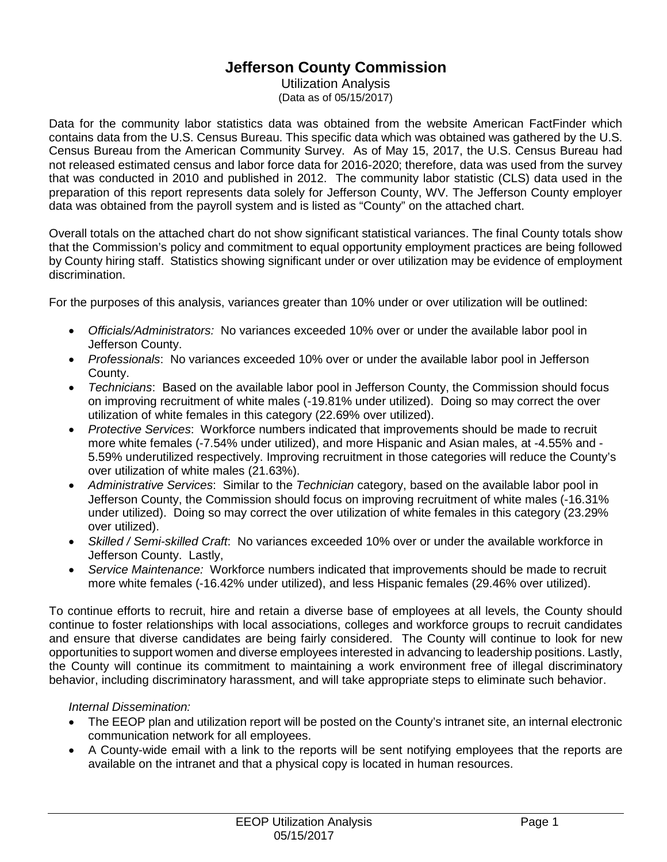# **Jefferson County Commission**

Utilization Analysis (Data as of 05/15/2017)

Data for the community labor statistics data was obtained from the website American FactFinder which contains data from the U.S. Census Bureau. This specific data which was obtained was gathered by the U.S. Census Bureau from the American Community Survey. As of May 15, 2017, the U.S. Census Bureau had not released estimated census and labor force data for 2016-2020; therefore, data was used from the survey that was conducted in 2010 and published in 2012. The community labor statistic (CLS) data used in the preparation of this report represents data solely for Jefferson County, WV. The Jefferson County employer data was obtained from the payroll system and is listed as "County" on the attached chart.

Overall totals on the attached chart do not show significant statistical variances. The final County totals show that the Commission's policy and commitment to equal opportunity employment practices are being followed by County hiring staff. Statistics showing significant under or over utilization may be evidence of employment discrimination.

For the purposes of this analysis, variances greater than 10% under or over utilization will be outlined:

- *Officials/Administrators:* No variances exceeded 10% over or under the available labor pool in Jefferson County.
- *Professionals*: No variances exceeded 10% over or under the available labor pool in Jefferson County.
- *Technicians*: Based on the available labor pool in Jefferson County, the Commission should focus on improving recruitment of white males (-19.81% under utilized). Doing so may correct the over utilization of white females in this category (22.69% over utilized).
- *Protective Services*: Workforce numbers indicated that improvements should be made to recruit more white females (-7.54% under utilized), and more Hispanic and Asian males, at -4.55% and - 5.59% underutilized respectively. Improving recruitment in those categories will reduce the County's over utilization of white males (21.63%).
- *Administrative Services*: Similar to the *Technician* category, based on the available labor pool in Jefferson County, the Commission should focus on improving recruitment of white males (-16.31% under utilized). Doing so may correct the over utilization of white females in this category (23.29% over utilized).
- *Skilled / Semi-skilled Craft*: No variances exceeded 10% over or under the available workforce in Jefferson County. Lastly,
- *Service Maintenance:* Workforce numbers indicated that improvements should be made to recruit more white females (-16.42% under utilized), and less Hispanic females (29.46% over utilized).

To continue efforts to recruit, hire and retain a diverse base of employees at all levels, the County should continue to foster relationships with local associations, colleges and workforce groups to recruit candidates and ensure that diverse candidates are being fairly considered. The County will continue to look for new opportunities to support women and diverse employees interested in advancing to leadership positions. Lastly, the County will continue its commitment to maintaining a work environment free of illegal discriminatory behavior, including discriminatory harassment, and will take appropriate steps to eliminate such behavior.

## *Internal Dissemination:*

- The EEOP plan and utilization report will be posted on the County's intranet site, an internal electronic communication network for all employees.
- A County-wide email with a link to the reports will be sent notifying employees that the reports are available on the intranet and that a physical copy is located in human resources.